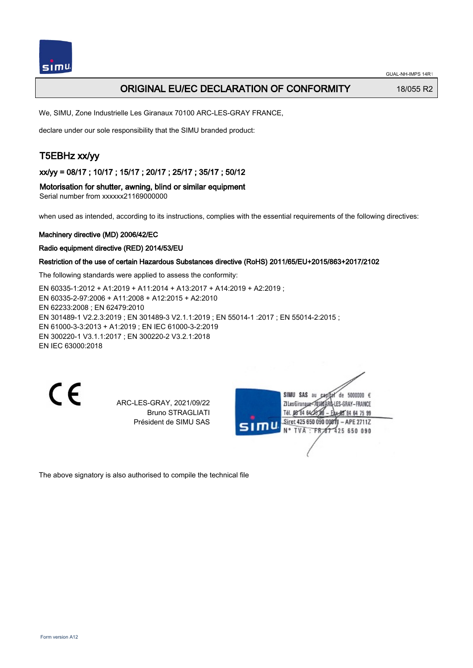## ORIGINAL EU/EC DECLARATION OF CONFORMITY 18/055 R2

We, SIMU, Zone Industrielle Les Giranaux 70100 ARC-LES-GRAY FRANCE,

declare under our sole responsibility that the SIMU branded product:

# T5EBHz xx/yy

xx/yy = 08/17 ; 10/17 ; 15/17 ; 20/17 ; 25/17 ; 35/17 ; 50/12

### Motorisation for shutter, awning, blind or similar equipment

Serial number from xxxxxx21169000000

when used as intended, according to its instructions, complies with the essential requirements of the following directives:

#### Machinery directive (MD) 2006/42/EC

### Radio equipment directive (RED) 2014/53/EU

### Restriction of the use of certain Hazardous Substances directive (RoHS) 2011/65/EU+2015/863+2017/2102

The following standards were applied to assess the conformity:

EN 60335‑1:2012 + A1:2019 + A11:2014 + A13:2017 + A14:2019 + A2:2019 ; EN 60335‑2‑97:2006 + A11:2008 + A12:2015 + A2:2010 EN 62233:2008 ; EN 62479:2010 EN 301489‑1 V2.2.3:2019 ; EN 301489‑3 V2.1.1:2019 ; EN 55014‑1 :2017 ; EN 55014‑2:2015 ; EN 61000‑3‑3:2013 + A1:2019 ; EN IEC 61000‑3‑2:2019 EN 300220‑1 V3.1.1:2017 ; EN 300220‑2 V3.2.1:2018 EN IEC 63000:2018

CE

ARC-LES-GRAY, 2021/09/22 Bruno STRAGLIATI Président de SIMU SAS

de 5000000  $\epsilon$ SIMU SAS au ZI Les Giranaux-70180AF **G-LES-GRAY-FRANCE** Tél. 08 84 64 28 00 95 84 64 75 99 Siret 425 650 090 00811 - APE 2711Z 425 650 090 **TVA FR** 

The above signatory is also authorised to compile the technical file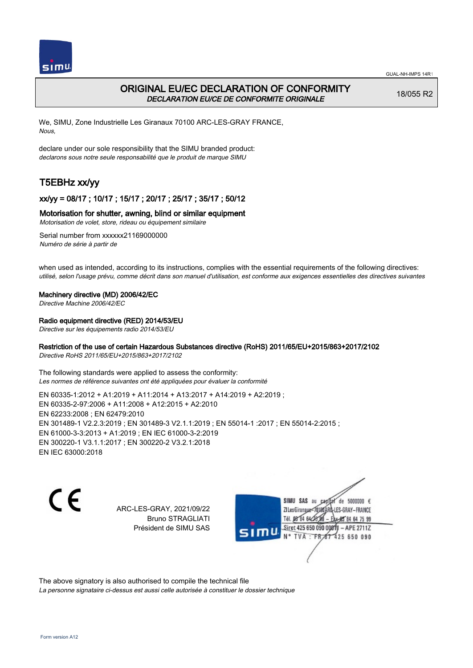

# ORIGINAL EU/EC DECLARATION OF CONFORMITY DECLARATION EU/CE DE CONFORMITE ORIGINALE

18/055 R2

We, SIMU, Zone Industrielle Les Giranaux 70100 ARC-LES-GRAY FRANCE, Nous,

declare under our sole responsibility that the SIMU branded product: declarons sous notre seule responsabilité que le produit de marque SIMU

# T5EBHz xx/yy

## xx/yy = 08/17 ; 10/17 ; 15/17 ; 20/17 ; 25/17 ; 35/17 ; 50/12

### Motorisation for shutter, awning, blind or similar equipment

Motorisation de volet, store, rideau ou équipement similaire

Serial number from xxxxxx21169000000 Numéro de série à partir de

when used as intended, according to its instructions, complies with the essential requirements of the following directives: utilisé, selon l'usage prévu, comme décrit dans son manuel d'utilisation, est conforme aux exigences essentielles des directives suivantes

### Machinery directive (MD) 2006/42/EC

Directive Machine 2006/42/EC

### Radio equipment directive (RED) 2014/53/EU

Directive sur les équipements radio 2014/53/EU

### Restriction of the use of certain Hazardous Substances directive (RoHS) 2011/65/EU+2015/863+2017/2102

Directive RoHS 2011/65/EU+2015/863+2017/2102

The following standards were applied to assess the conformity: Les normes de référence suivantes ont été appliquées pour évaluer la conformité

EN 60335‑1:2012 + A1:2019 + A11:2014 + A13:2017 + A14:2019 + A2:2019 ; EN 60335‑2‑97:2006 + A11:2008 + A12:2015 + A2:2010 EN 62233:2008 ; EN 62479:2010 EN 301489‑1 V2.2.3:2019 ; EN 301489‑3 V2.1.1:2019 ; EN 55014‑1 :2017 ; EN 55014‑2:2015 ; EN 61000‑3‑3:2013 + A1:2019 ; EN IEC 61000‑3‑2:2019 EN 300220‑1 V3.1.1:2017 ; EN 300220‑2 V3.2.1:2018 EN IEC 63000:2018

C E

ARC-LES-GRAY, 2021/09/22 Bruno STRAGLIATI Président de SIMU SAS

SIMU SAS au de 5000000 € **ZILes Giranaux** S-GRAY-FRANCE 64 75 99 Siret 425 650 090 00811  $-$  APE 2711Z 425 650 090

The above signatory is also authorised to compile the technical file La personne signataire ci-dessus est aussi celle autorisée à constituer le dossier technique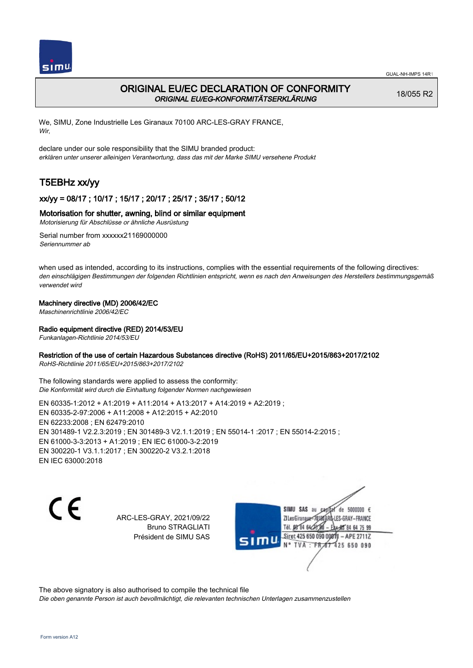

# ORIGINAL EU/EC DECLARATION OF CONFORMITY ORIGINAL EU/EG-KONFORMITÄTSERKLÄRUNG

18/055 R2

We, SIMU, Zone Industrielle Les Giranaux 70100 ARC-LES-GRAY FRANCE, Wir,

declare under our sole responsibility that the SIMU branded product: erklären unter unserer alleinigen Verantwortung, dass das mit der Marke SIMU versehene Produkt

# T5EBHz xx/yy

## xx/yy = 08/17 ; 10/17 ; 15/17 ; 20/17 ; 25/17 ; 35/17 ; 50/12

### Motorisation for shutter, awning, blind or similar equipment

Motorisierung für Abschlüsse or ähnliche Ausrüstung

Serial number from xxxxxx21169000000 Seriennummer ab

when used as intended, according to its instructions, complies with the essential requirements of the following directives: den einschlägigen Bestimmungen der folgenden Richtlinien entspricht, wenn es nach den Anweisungen des Herstellers bestimmungsgemäß verwendet wird

### Machinery directive (MD) 2006/42/EC

Maschinenrichtlinie 2006/42/EC

### Radio equipment directive (RED) 2014/53/EU

Funkanlagen-Richtlinie 2014/53/EU

### Restriction of the use of certain Hazardous Substances directive (RoHS) 2011/65/EU+2015/863+2017/2102

RoHS-Richtlinie 2011/65/EU+2015/863+2017/2102

The following standards were applied to assess the conformity: Die Konformität wird durch die Einhaltung folgender Normen nachgewiesen

EN 60335‑1:2012 + A1:2019 + A11:2014 + A13:2017 + A14:2019 + A2:2019 ; EN 60335‑2‑97:2006 + A11:2008 + A12:2015 + A2:2010 EN 62233:2008 ; EN 62479:2010 EN 301489‑1 V2.2.3:2019 ; EN 301489‑3 V2.1.1:2019 ; EN 55014‑1 :2017 ; EN 55014‑2:2015 ; EN 61000‑3‑3:2013 + A1:2019 ; EN IEC 61000‑3‑2:2019 EN 300220‑1 V3.1.1:2017 ; EN 300220‑2 V3.2.1:2018 EN IEC 63000:2018

C E

ARC-LES-GRAY, 2021/09/22 Bruno STRAGLIATI Président de SIMU SAS



The above signatory is also authorised to compile the technical file

Die oben genannte Person ist auch bevollmächtigt, die relevanten technischen Unterlagen zusammenzustellen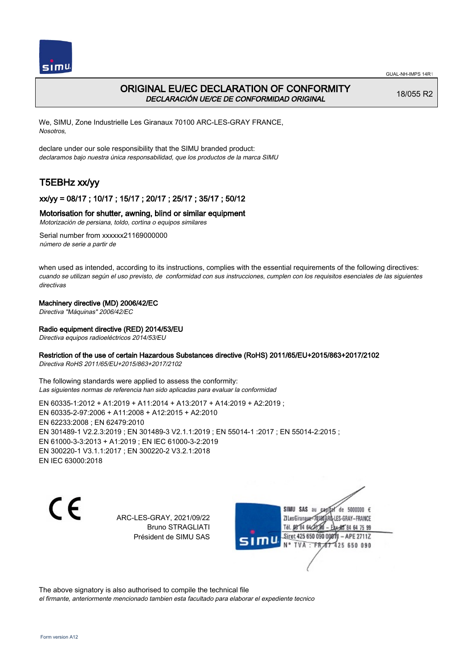



## ORIGINAL EU/EC DECLARATION OF CONFORMITY DECLARACIÓN UE/CE DE CONFORMIDAD ORIGINAL

18/055 R2

We, SIMU, Zone Industrielle Les Giranaux 70100 ARC-LES-GRAY FRANCE, Nosotros,

declare under our sole responsibility that the SIMU branded product: declaramos bajo nuestra única responsabilidad, que los productos de la marca SIMU

# T5EBHz xx/yy

## xx/yy = 08/17 ; 10/17 ; 15/17 ; 20/17 ; 25/17 ; 35/17 ; 50/12

### Motorisation for shutter, awning, blind or similar equipment

Motorización de persiana, toldo, cortina o equipos similares

Serial number from xxxxxx21169000000 número de serie a partir de

when used as intended, according to its instructions, complies with the essential requirements of the following directives: cuando se utilizan según el uso previsto, de conformidad con sus instrucciones, cumplen con los requisitos esenciales de las siguientes directivas

### Machinery directive (MD) 2006/42/EC

Directiva "Máquinas" 2006/42/EC

### Radio equipment directive (RED) 2014/53/EU

Directiva equipos radioeléctricos 2014/53/EU

### Restriction of the use of certain Hazardous Substances directive (RoHS) 2011/65/EU+2015/863+2017/2102

Directiva RoHS 2011/65/EU+2015/863+2017/2102

The following standards were applied to assess the conformity: Las siguientes normas de referencia han sido aplicadas para evaluar la conformidad

EN 60335‑1:2012 + A1:2019 + A11:2014 + A13:2017 + A14:2019 + A2:2019 ; EN 60335‑2‑97:2006 + A11:2008 + A12:2015 + A2:2010 EN 62233:2008 ; EN 62479:2010 EN 301489‑1 V2.2.3:2019 ; EN 301489‑3 V2.1.1:2019 ; EN 55014‑1 :2017 ; EN 55014‑2:2015 ; EN 61000‑3‑3:2013 + A1:2019 ; EN IEC 61000‑3‑2:2019 EN 300220‑1 V3.1.1:2017 ; EN 300220‑2 V3.2.1:2018 EN IEC 63000:2018

C E

ARC-LES-GRAY, 2021/09/22 Bruno STRAGLIATI Président de SIMU SAS



The above signatory is also authorised to compile the technical file

el firmante, anteriormente mencionado tambien esta facultado para elaborar el expediente tecnico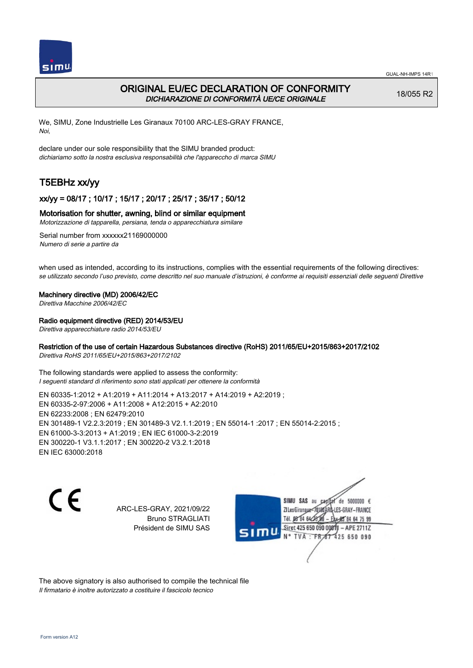

## ORIGINAL EU/EC DECLARATION OF CONFORMITY DICHIARAZIONE DI CONFORMITÀ UE/CE ORIGINALE

18/055 R2

We, SIMU, Zone Industrielle Les Giranaux 70100 ARC-LES-GRAY FRANCE, Noi,

declare under our sole responsibility that the SIMU branded product: dichiariamo sotto la nostra esclusiva responsabilità che l'appareccho di marca SIMU

# T5EBHz xx/yy

### xx/yy = 08/17 ; 10/17 ; 15/17 ; 20/17 ; 25/17 ; 35/17 ; 50/12

### Motorisation for shutter, awning, blind or similar equipment

Motorizzazione di tapparella, persiana, tenda o apparecchiatura similare

Serial number from xxxxxx21169000000 Numero di serie a partire da

when used as intended, according to its instructions, complies with the essential requirements of the following directives: se utilizzato secondo l'uso previsto, come descritto nel suo manuale d'istruzioni, è conforme ai requisiti essenziali delle seguenti Direttive

#### Machinery directive (MD) 2006/42/EC

Direttiva Macchine 2006/42/EC

### Radio equipment directive (RED) 2014/53/EU

Direttiva apparecchiature radio 2014/53/EU

### Restriction of the use of certain Hazardous Substances directive (RoHS) 2011/65/EU+2015/863+2017/2102

Direttiva RoHS 2011/65/EU+2015/863+2017/2102

The following standards were applied to assess the conformity: I seguenti standard di riferimento sono stati applicati per ottenere la conformità

EN 60335‑1:2012 + A1:2019 + A11:2014 + A13:2017 + A14:2019 + A2:2019 ; EN 60335‑2‑97:2006 + A11:2008 + A12:2015 + A2:2010 EN 62233:2008 ; EN 62479:2010 EN 301489‑1 V2.2.3:2019 ; EN 301489‑3 V2.1.1:2019 ; EN 55014‑1 :2017 ; EN 55014‑2:2015 ; EN 61000‑3‑3:2013 + A1:2019 ; EN IEC 61000‑3‑2:2019 EN 300220‑1 V3.1.1:2017 ; EN 300220‑2 V3.2.1:2018 EN IEC 63000:2018

C E

ARC-LES-GRAY, 2021/09/22 Bruno STRAGLIATI Président de SIMU SAS

SIMU SAS de 5000000 € **ZILes Giranaux** ES-GRAY-FRANCE 64 75 99 Siret 425 650 090 00811  $-$  APE 2711Z N° TVA 425 650 090

The above signatory is also authorised to compile the technical file Il firmatario è inoltre autorizzato a costituire il fascicolo tecnico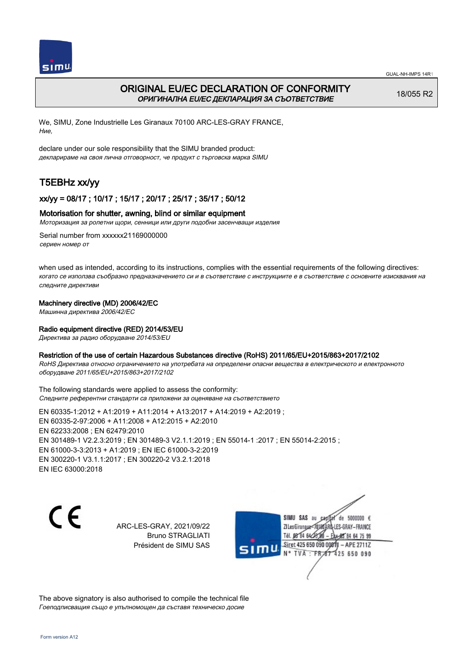

# ORIGINAL EU/EC DECLARATION OF CONFORMITY ОРИГИНАЛНА EU/EC ДЕКЛАРАЦИЯ ЗА СЪОТВЕТСТВИЕ

18/055 R2

We, SIMU, Zone Industrielle Les Giranaux 70100 ARC-LES-GRAY FRANCE, Ние,

declare under our sole responsibility that the SIMU branded product: декларираме на своя лична отговорност, че продукт с търговска марка SIMU

# T5EBHz xx/yy

## xx/yy = 08/17 ; 10/17 ; 15/17 ; 20/17 ; 25/17 ; 35/17 ; 50/12

### Motorisation for shutter, awning, blind or similar equipment

Моторизация за ролетни щори, сенници или други подобни засенчващи изделия

Serial number from xxxxxx21169000000 сериен номер от

when used as intended, according to its instructions, complies with the essential requirements of the following directives: когато се използва съобразно предназначението си и в съответствие с инструкциите е в съответствие с основните изисквания на следните директиви

### Machinery directive (MD) 2006/42/EC

Машинна директива 2006/42/EC

### Radio equipment directive (RED) 2014/53/EU

Директива за радио оборудване 2014/53/EU

### Restriction of the use of certain Hazardous Substances directive (RoHS) 2011/65/EU+2015/863+2017/2102

RoHS Директива относно ограничението на употребата на определени опасни вещества в електрическото и електронното оборудване 2011/65/EU+2015/863+2017/2102

The following standards were applied to assess the conformity: Следните референтни стандарти са приложени за оценяване на съответствието

EN 60335‑1:2012 + A1:2019 + A11:2014 + A13:2017 + A14:2019 + A2:2019 ; EN 60335‑2‑97:2006 + A11:2008 + A12:2015 + A2:2010 EN 62233:2008 ; EN 62479:2010 EN 301489‑1 V2.2.3:2019 ; EN 301489‑3 V2.1.1:2019 ; EN 55014‑1 :2017 ; EN 55014‑2:2015 ; EN 61000‑3‑3:2013 + A1:2019 ; EN IEC 61000‑3‑2:2019 EN 300220‑1 V3.1.1:2017 ; EN 300220‑2 V3.2.1:2018 EN IEC 63000:2018

C E

ARC-LES-GRAY, 2021/09/22 Bruno STRAGLIATI Président de SIMU SAS



The above signatory is also authorised to compile the technical file Гоеподписващия също е упълномощен да съставя техническо досие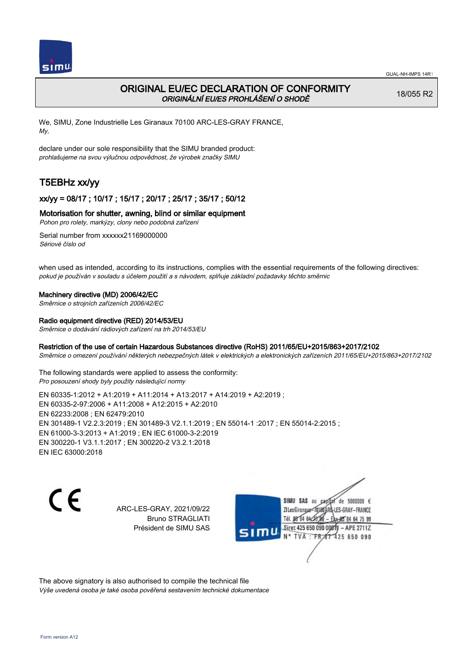

# ORIGINAL EU/EC DECLARATION OF CONFORMITY ORIGINÁLNÍ EU/ES PROHLÁŠENÍ O SHODĚ

18/055 R2

We, SIMU, Zone Industrielle Les Giranaux 70100 ARC-LES-GRAY FRANCE, My,

declare under our sole responsibility that the SIMU branded product: prohlašujeme na svou výlučnou odpovědnost, že výrobek značky SIMU

# T5EBHz xx/yy

## xx/yy = 08/17 ; 10/17 ; 15/17 ; 20/17 ; 25/17 ; 35/17 ; 50/12

### Motorisation for shutter, awning, blind or similar equipment

Pohon pro rolety, markýzy, clony nebo podobná zařízení

Serial number from xxxxxx21169000000 Sériové číslo od

when used as intended, according to its instructions, complies with the essential requirements of the following directives: pokud je používán v souladu s účelem použití a s návodem, splňuje základní požadavky těchto směrnic

### Machinery directive (MD) 2006/42/EC

Směrnice o strojních zařízeních 2006/42/EC

### Radio equipment directive (RED) 2014/53/EU

Směrnice o dodávání rádiových zařízení na trh 2014/53/EU

### Restriction of the use of certain Hazardous Substances directive (RoHS) 2011/65/EU+2015/863+2017/2102

Směrnice o omezení používání některých nebezpečných látek v elektrických a elektronických zařízeních 2011/65/EU+2015/863+2017/2102

The following standards were applied to assess the conformity: Pro posouzení shody byly použity následující normy

EN 60335‑1:2012 + A1:2019 + A11:2014 + A13:2017 + A14:2019 + A2:2019 ; EN 60335‑2‑97:2006 + A11:2008 + A12:2015 + A2:2010 EN 62233:2008 ; EN 62479:2010 EN 301489‑1 V2.2.3:2019 ; EN 301489‑3 V2.1.1:2019 ; EN 55014‑1 :2017 ; EN 55014‑2:2015 ; EN 61000‑3‑3:2013 + A1:2019 ; EN IEC 61000‑3‑2:2019 EN 300220‑1 V3.1.1:2017 ; EN 300220‑2 V3.2.1:2018 EN IEC 63000:2018

C E

ARC-LES-GRAY, 2021/09/22 Bruno STRAGLIATI Président de SIMU SAS

SIMU SAS au de 5000000  $\epsilon$ **ZILesGiranaux** ES-GRAY-FRANCE 64 75 99 Siret 425 650 090 00811  $-$  APE 2711Z **TVA** 425 650 090

The above signatory is also authorised to compile the technical file Výše uvedená osoba je také osoba pověřená sestavením technické dokumentace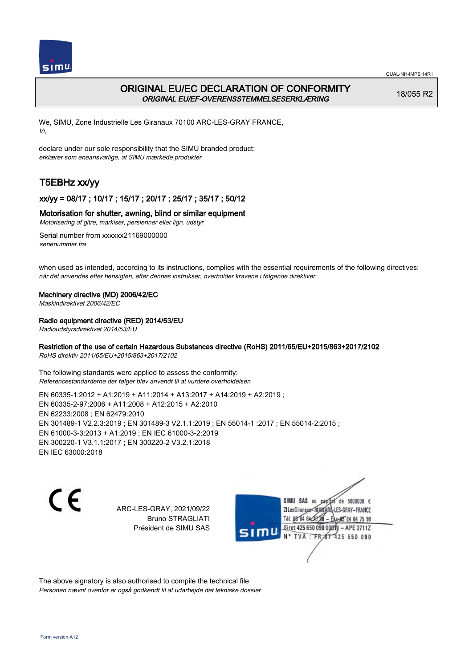

## ORIGINAL EU/EC DECLARATION OF CONFORMITY ORIGINAL EU/EF-OVERENSSTEMMELSESERKLÆRING

18/055 R2

We, SIMU, Zone Industrielle Les Giranaux 70100 ARC-LES-GRAY FRANCE, Vi,

declare under our sole responsibility that the SIMU branded product: erklærer som eneansvarlige, at SIMU mærkede produkter

# T5EBHz xx/yy

## xx/yy = 08/17 ; 10/17 ; 15/17 ; 20/17 ; 25/17 ; 35/17 ; 50/12

### Motorisation for shutter, awning, blind or similar equipment

Motorisering af gitre, markiser, persienner eller lign. udstyr

Serial number from xxxxxx21169000000 serienummer fra

when used as intended, according to its instructions, complies with the essential requirements of the following directives: når det anvendes efter hensigten, efter dennes instrukser, overholder kravene i følgende direktiver

### Machinery directive (MD) 2006/42/EC

Maskindirektivet 2006/42/EC

### Radio equipment directive (RED) 2014/53/EU

Radioudstyrsdirektivet 2014/53/EU

### Restriction of the use of certain Hazardous Substances directive (RoHS) 2011/65/EU+2015/863+2017/2102

RoHS direktiv 2011/65/EU+2015/863+2017/2102

The following standards were applied to assess the conformity: Referencestandarderne der følger blev anvendt til at vurdere overholdelsen

EN 60335‑1:2012 + A1:2019 + A11:2014 + A13:2017 + A14:2019 + A2:2019 ; EN 60335‑2‑97:2006 + A11:2008 + A12:2015 + A2:2010 EN 62233:2008 ; EN 62479:2010 EN 301489‑1 V2.2.3:2019 ; EN 301489‑3 V2.1.1:2019 ; EN 55014‑1 :2017 ; EN 55014‑2:2015 ; EN 61000‑3‑3:2013 + A1:2019 ; EN IEC 61000‑3‑2:2019 EN 300220‑1 V3.1.1:2017 ; EN 300220‑2 V3.2.1:2018 EN IEC 63000:2018

C E

ARC-LES-GRAY, 2021/09/22 Bruno STRAGLIATI Président de SIMU SAS

SIMU SAS au de 5000000 € **ZILesGirangux** ES-GRAY-FRANCE 64 75 99 Siret 425 650 090 00811  $-$  APE 2711Z TVA 425 650 090

The above signatory is also authorised to compile the technical file Personen nævnt ovenfor er også godkendt til at udarbejde det tekniske dossier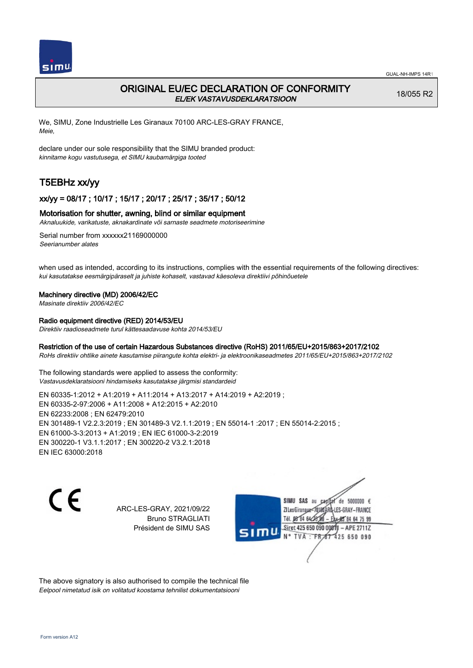

## ORIGINAL EU/EC DECLARATION OF CONFORMITY EL/EK VASTAVUSDEKLARATSIOON

18/055 R2

We, SIMU, Zone Industrielle Les Giranaux 70100 ARC-LES-GRAY FRANCE, Meie,

declare under our sole responsibility that the SIMU branded product: kinnitame kogu vastutusega, et SIMU kaubamärgiga tooted

# T5EBHz xx/yy

### xx/yy = 08/17 ; 10/17 ; 15/17 ; 20/17 ; 25/17 ; 35/17 ; 50/12

### Motorisation for shutter, awning, blind or similar equipment

Aknaluukide, varikatuste, aknakardinate või sarnaste seadmete motoriseerimine

Serial number from xxxxxx21169000000 Seerianumber alates

when used as intended, according to its instructions, complies with the essential requirements of the following directives: kui kasutatakse eesmärgipäraselt ja juhiste kohaselt, vastavad käesoleva direktiivi põhinõuetele

#### Machinery directive (MD) 2006/42/EC

Masinate direktiiv 2006/42/EC

## Radio equipment directive (RED) 2014/53/EU

Direktiiv raadioseadmete turul kättesaadavuse kohta 2014/53/EU

### Restriction of the use of certain Hazardous Substances directive (RoHS) 2011/65/EU+2015/863+2017/2102

RoHs direktiiv ohtlike ainete kasutamise piirangute kohta elektri- ja elektroonikaseadmetes 2011/65/EU+2015/863+2017/2102

The following standards were applied to assess the conformity: Vastavusdeklaratsiooni hindamiseks kasutatakse järgmisi standardeid

EN 60335‑1:2012 + A1:2019 + A11:2014 + A13:2017 + A14:2019 + A2:2019 ; EN 60335‑2‑97:2006 + A11:2008 + A12:2015 + A2:2010 EN 62233:2008 ; EN 62479:2010 EN 301489‑1 V2.2.3:2019 ; EN 301489‑3 V2.1.1:2019 ; EN 55014‑1 :2017 ; EN 55014‑2:2015 ; EN 61000‑3‑3:2013 + A1:2019 ; EN IEC 61000‑3‑2:2019 EN 300220‑1 V3.1.1:2017 ; EN 300220‑2 V3.2.1:2018 EN IEC 63000:2018

C E

ARC-LES-GRAY, 2021/09/22 Bruno STRAGLIATI Président de SIMU SAS



The above signatory is also authorised to compile the technical file Eelpool nimetatud isik on volitatud koostama tehnilist dokumentatsiooni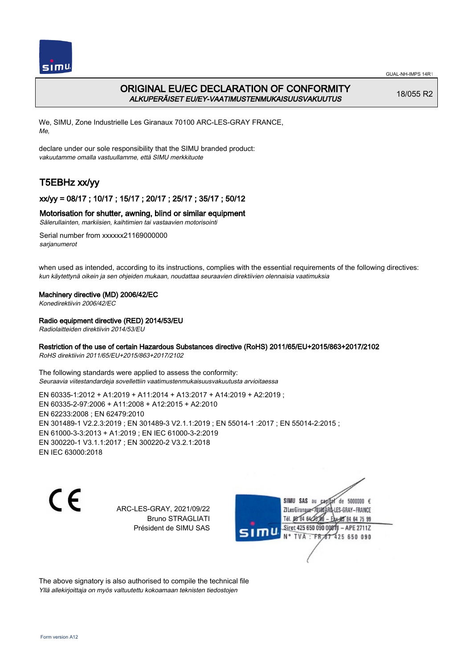

# ORIGINAL EU/EC DECLARATION OF CONFORMITY ALKUPERÄISET EU/EY-VAATIMUSTENMUKAISUUSVAKUUTUS

18/055 R2

We, SIMU, Zone Industrielle Les Giranaux 70100 ARC-LES-GRAY FRANCE, Me,

declare under our sole responsibility that the SIMU branded product: vakuutamme omalla vastuullamme, että SIMU merkkituote

# T5EBHz xx/yy

## xx/yy = 08/17 ; 10/17 ; 15/17 ; 20/17 ; 25/17 ; 35/17 ; 50/12

### Motorisation for shutter, awning, blind or similar equipment

Sälerullainten, markiisien, kaihtimien tai vastaavien motorisointi

Serial number from xxxxxx21169000000 sarianumerot

when used as intended, according to its instructions, complies with the essential requirements of the following directives: kun käytettynä oikein ja sen ohjeiden mukaan, noudattaa seuraavien direktiivien olennaisia vaatimuksia

### Machinery directive (MD) 2006/42/EC

Konedirektiivin 2006/42/EC

### Radio equipment directive (RED) 2014/53/EU

Radiolaitteiden direktiivin 2014/53/EU

### Restriction of the use of certain Hazardous Substances directive (RoHS) 2011/65/EU+2015/863+2017/2102

RoHS direktiivin 2011/65/EU+2015/863+2017/2102

The following standards were applied to assess the conformity: Seuraavia viitestandardeja sovellettiin vaatimustenmukaisuusvakuutusta arvioitaessa

EN 60335‑1:2012 + A1:2019 + A11:2014 + A13:2017 + A14:2019 + A2:2019 ; EN 60335‑2‑97:2006 + A11:2008 + A12:2015 + A2:2010 EN 62233:2008 ; EN 62479:2010 EN 301489‑1 V2.2.3:2019 ; EN 301489‑3 V2.1.1:2019 ; EN 55014‑1 :2017 ; EN 55014‑2:2015 ; EN 61000‑3‑3:2013 + A1:2019 ; EN IEC 61000‑3‑2:2019 EN 300220‑1 V3.1.1:2017 ; EN 300220‑2 V3.2.1:2018 EN IEC 63000:2018

C E

ARC-LES-GRAY, 2021/09/22 Bruno STRAGLIATI Président de SIMU SAS

SIMU SAS de 5000000 € **ZILesGiranaux** ES-GRAY-FRANCE 64 75 99 Siret 425 650 090 00811  $-$  APE 2711Z TVA 425 650 090

The above signatory is also authorised to compile the technical file Yllä allekirjoittaja on myös valtuutettu kokoamaan teknisten tiedostojen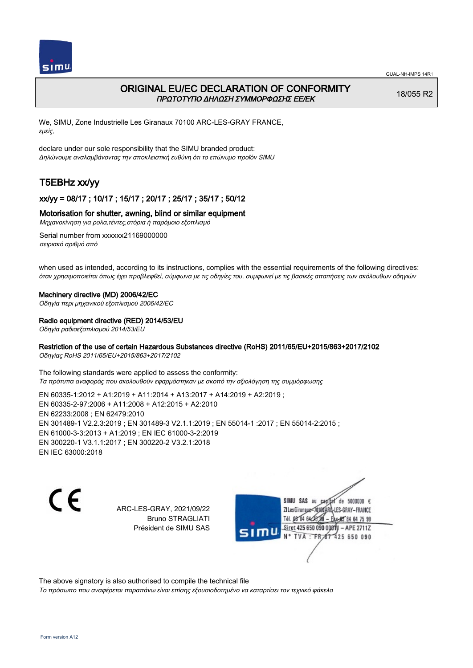

## ORIGINAL EU/EC DECLARATION OF CONFORMITY ΠΡΩΤΟΤΥΠΟ ΔΗΛΩΣΗ ΣΥΜΜΟΡΦΩΣΗΣ ΕΕ/EK

18/055 R2

We, SIMU, Zone Industrielle Les Giranaux 70100 ARC-LES-GRAY FRANCE, εμείς,

declare under our sole responsibility that the SIMU branded product: Δηλώνουμε αναλαμβάνοντας την αποκλειστική ευθύνη ότι το επώνυμο προϊόν SIMU

# T5EBHz xx/yy

## xx/yy = 08/17 ; 10/17 ; 15/17 ; 20/17 ; 25/17 ; 35/17 ; 50/12

### Motorisation for shutter, awning, blind or similar equipment

Μηχανοκίνηση για ρολα,τέντες,στόρια ή παρόμοιο εξοπλισμό

Serial number from xxxxxx21169000000 σειριακό αριθμό από

when used as intended, according to its instructions, complies with the essential requirements of the following directives: όταν χρησιμοποιείται όπως έχει προβλεφθεί, σύμφωνα με τις οδηγίες του, συμφωνεί με τις βασικές απαιτήσεις των ακόλουθων οδηγιών

#### Machinery directive (MD) 2006/42/EC

Οδηγία περι μηχανικού εξοπλισμού 2006/42/EC

#### Radio equipment directive (RED) 2014/53/EU

Οδηγία ραδιοεξοπλισμού 2014/53/EU

### Restriction of the use of certain Hazardous Substances directive (RoHS) 2011/65/EU+2015/863+2017/2102

Οδηγίας RoHS 2011/65/EU+2015/863+2017/2102

The following standards were applied to assess the conformity: Τα πρότυπα αναφοράς που ακολουθούν εφαρμόστηκαν με σκοπό την αξιολόγηση της συμμόρφωσης

EN 60335‑1:2012 + A1:2019 + A11:2014 + A13:2017 + A14:2019 + A2:2019 ; EN 60335‑2‑97:2006 + A11:2008 + A12:2015 + A2:2010 EN 62233:2008 ; EN 62479:2010 EN 301489‑1 V2.2.3:2019 ; EN 301489‑3 V2.1.1:2019 ; EN 55014‑1 :2017 ; EN 55014‑2:2015 ; EN 61000‑3‑3:2013 + A1:2019 ; EN IEC 61000‑3‑2:2019 EN 300220‑1 V3.1.1:2017 ; EN 300220‑2 V3.2.1:2018 EN IEC 63000:2018

C E

ARC-LES-GRAY, 2021/09/22 Bruno STRAGLIATI Président de SIMU SAS

SIMU SAS au de 5000000 € **ZILesGirangua** ES-GRAY-FRANCE Tél. 08 84 64 2 64 75 99 Siret 425 650 090 00811  $-$  APE 2711Z TVA 425 650 090

The above signatory is also authorised to compile the technical file

Το πρόσωπο που αναφέρεται παραπάνω είναι επίσης εξουσιοδοτημένο να καταρτίσει τον τεχνικό φάκελο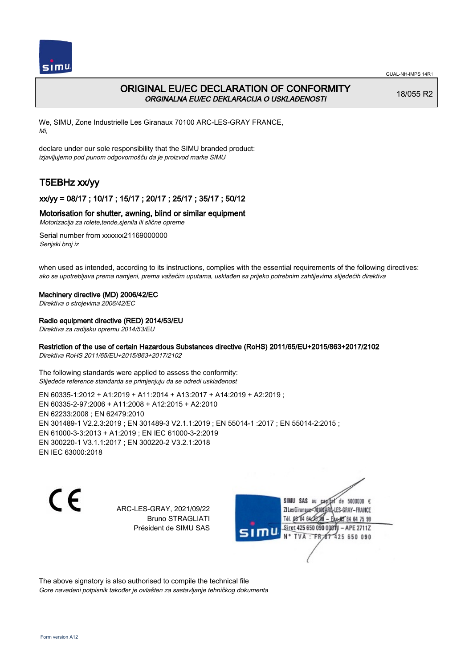

# ORIGINAL EU/EC DECLARATION OF CONFORMITY ORGINALNA EU/EC DEKLARACIJA O USKLAĐENOSTI

18/055 R2

We, SIMU, Zone Industrielle Les Giranaux 70100 ARC-LES-GRAY FRANCE, Mi,

declare under our sole responsibility that the SIMU branded product: izjavljujemo pod punom odgovornošču da je proizvod marke SIMU

# T5EBHz xx/yy

## xx/yy = 08/17 ; 10/17 ; 15/17 ; 20/17 ; 25/17 ; 35/17 ; 50/12

### Motorisation for shutter, awning, blind or similar equipment

Motorizacija za rolete,tende,sjenila ili slične opreme

Serial number from xxxxxx21169000000 Serijski broj iz

when used as intended, according to its instructions, complies with the essential requirements of the following directives: ako se upotrebljava prema namjeni, prema važećim uputama, usklađen sa prijeko potrebnim zahtijevima slijedećih direktiva

### Machinery directive (MD) 2006/42/EC

Direktiva o strojevima 2006/42/EC

### Radio equipment directive (RED) 2014/53/EU

Direktiva za radijsku opremu 2014/53/EU

### Restriction of the use of certain Hazardous Substances directive (RoHS) 2011/65/EU+2015/863+2017/2102

Direktiva RoHS 2011/65/EU+2015/863+2017/2102

The following standards were applied to assess the conformity: Slijedeće reference standarda se primjenjuju da se odredi usklađenost

EN 60335‑1:2012 + A1:2019 + A11:2014 + A13:2017 + A14:2019 + A2:2019 ; EN 60335‑2‑97:2006 + A11:2008 + A12:2015 + A2:2010 EN 62233:2008 ; EN 62479:2010 EN 301489‑1 V2.2.3:2019 ; EN 301489‑3 V2.1.1:2019 ; EN 55014‑1 :2017 ; EN 55014‑2:2015 ; EN 61000‑3‑3:2013 + A1:2019 ; EN IEC 61000‑3‑2:2019 EN 300220‑1 V3.1.1:2017 ; EN 300220‑2 V3.2.1:2018 EN IEC 63000:2018

CE

ARC-LES-GRAY, 2021/09/22 Bruno STRAGLIATI Président de SIMU SAS

SIMU SAS au de 5000000 € **ZILesGiranaux** ES-GRAY-FRANCE 64 75 99 Siret 425 650 090 00811  $-$  APE 2711Z TVA 425 650 090

The above signatory is also authorised to compile the technical file Gore navedeni potpisnik također je ovlašten za sastavljanje tehničkog dokumenta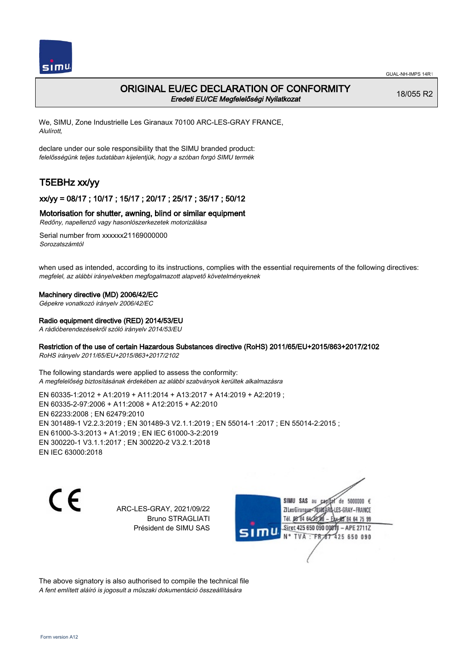

## ORIGINAL EU/EC DECLARATION OF CONFORMITY Eredeti EU/CE Megfelelőségi Nyilatkozat

18/055 R2

We, SIMU, Zone Industrielle Les Giranaux 70100 ARC-LES-GRAY FRANCE, Alulírott,

declare under our sole responsibility that the SIMU branded product: felelősségünk teljes tudatában kijelentjük, hogy a szóban forgó SIMU termék

# T5EBHz xx/yy

## xx/yy = 08/17 ; 10/17 ; 15/17 ; 20/17 ; 25/17 ; 35/17 ; 50/12

### Motorisation for shutter, awning, blind or similar equipment

Redőny, napellenző vagy hasonlószerkezetek motorizálása

Serial number from xxxxxx21169000000 Sorozatszámtól

when used as intended, according to its instructions, complies with the essential requirements of the following directives: megfelel, az alábbi irányelvekben megfogalmazott alapvető követelményeknek

#### Machinery directive (MD) 2006/42/EC

Gépekre vonatkozó irányelv 2006/42/EC

#### Radio equipment directive (RED) 2014/53/EU

A rádióberendezésekről szóló irányelv 2014/53/EU

### Restriction of the use of certain Hazardous Substances directive (RoHS) 2011/65/EU+2015/863+2017/2102

RoHS irányelv 2011/65/EU+2015/863+2017/2102

The following standards were applied to assess the conformity: A megfelelőség biztosításának érdekében az alábbi szabványok kerültek alkalmazásra

EN 60335‑1:2012 + A1:2019 + A11:2014 + A13:2017 + A14:2019 + A2:2019 ; EN 60335‑2‑97:2006 + A11:2008 + A12:2015 + A2:2010 EN 62233:2008 ; EN 62479:2010 EN 301489‑1 V2.2.3:2019 ; EN 301489‑3 V2.1.1:2019 ; EN 55014‑1 :2017 ; EN 55014‑2:2015 ; EN 61000‑3‑3:2013 + A1:2019 ; EN IEC 61000‑3‑2:2019 EN 300220‑1 V3.1.1:2017 ; EN 300220‑2 V3.2.1:2018 EN IEC 63000:2018

CE

ARC-LES-GRAY, 2021/09/22 Bruno STRAGLIATI Président de SIMU SAS

SIMU SAS au de 5000000 € **ZILesGiranaux** ES-GRAY-FRANCE 64 75 99 Siret 425 650 090 00811  $-$  APE 2711Z TVA 425 650 090

The above signatory is also authorised to compile the technical file A fent említett aláíró is jogosult a műszaki dokumentáció összeállítására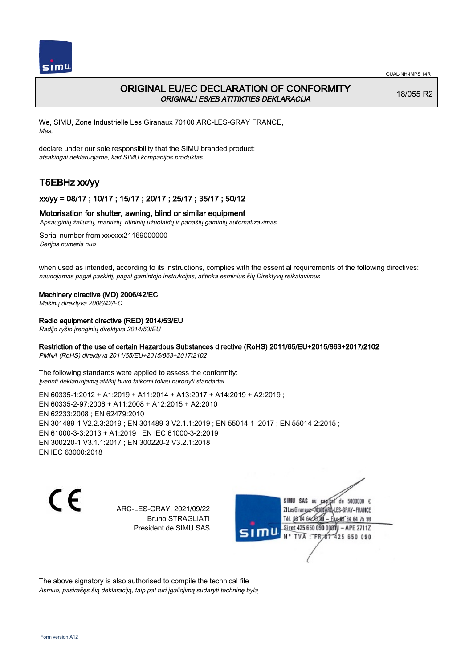

## ORIGINAL EU/EC DECLARATION OF CONFORMITY ORIGINALI ES/EB ATITIKTIES DEKLARACIJA

18/055 R2

We, SIMU, Zone Industrielle Les Giranaux 70100 ARC-LES-GRAY FRANCE, Mes,

declare under our sole responsibility that the SIMU branded product: atsakingai deklaruojame, kad SIMU kompanijos produktas

# T5EBHz xx/yy

### xx/yy = 08/17 ; 10/17 ; 15/17 ; 20/17 ; 25/17 ; 35/17 ; 50/12

### Motorisation for shutter, awning, blind or similar equipment

Apsauginių žaliuzių, markizių, ritininių užuolaidų ir panašių gaminių automatizavimas

Serial number from xxxxxx21169000000 Serijos numeris nuo

when used as intended, according to its instructions, complies with the essential requirements of the following directives: naudojamas pagal paskirtį, pagal gamintojo instrukcijas, atitinka esminius šių Direktyvų reikalavimus

### Machinery directive (MD) 2006/42/EC

Mašinų direktyva 2006/42/EC

### Radio equipment directive (RED) 2014/53/EU

Radijo ryšio įrenginių direktyva 2014/53/EU

### Restriction of the use of certain Hazardous Substances directive (RoHS) 2011/65/EU+2015/863+2017/2102

PMNA (RoHS) direktyva 2011/65/EU+2015/863+2017/2102

The following standards were applied to assess the conformity: Įverinti deklaruojamą atitiktį buvo taikomi toliau nurodyti standartai

EN 60335‑1:2012 + A1:2019 + A11:2014 + A13:2017 + A14:2019 + A2:2019 ; EN 60335‑2‑97:2006 + A11:2008 + A12:2015 + A2:2010 EN 62233:2008 ; EN 62479:2010 EN 301489‑1 V2.2.3:2019 ; EN 301489‑3 V2.1.1:2019 ; EN 55014‑1 :2017 ; EN 55014‑2:2015 ; EN 61000‑3‑3:2013 + A1:2019 ; EN IEC 61000‑3‑2:2019 EN 300220‑1 V3.1.1:2017 ; EN 300220‑2 V3.2.1:2018 EN IEC 63000:2018

CE

ARC-LES-GRAY, 2021/09/22 Bruno STRAGLIATI Président de SIMU SAS

SIMU SAS au de 5000000 € **ZILesGirangua** ES-GRAY-FRANCE 64 75 99 Siret 425 650 090 00811  $-$  APE 2711Z N° TVA 425 650 090

The above signatory is also authorised to compile the technical file Asmuo, pasirašęs šią deklaraciją, taip pat turi įgaliojimą sudaryti techninę bylą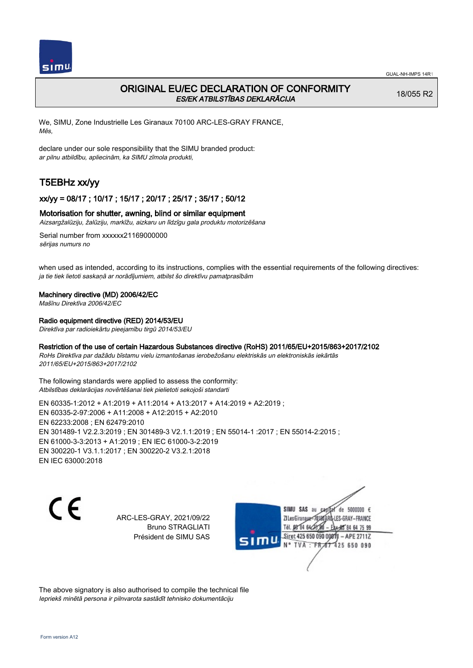

## ORIGINAL EU/EC DECLARATION OF CONFORMITY ES/EK ATBILSTĪBAS DEKLARĀCIJA

18/055 R2

We, SIMU, Zone Industrielle Les Giranaux 70100 ARC-LES-GRAY FRANCE, Mēs,

declare under our sole responsibility that the SIMU branded product: ar pilnu atbildību, apliecinām, ka SIMU zīmola produkti,

# T5EBHz xx/yy

### xx/yy = 08/17 ; 10/17 ; 15/17 ; 20/17 ; 25/17 ; 35/17 ; 50/12

### Motorisation for shutter, awning, blind or similar equipment

Aizsargžalūziju, žalūziju, markīžu, aizkaru un līdzīgu gala produktu motorizēšana

Serial number from xxxxxx21169000000 sērijas numurs no

when used as intended, according to its instructions, complies with the essential requirements of the following directives: ja tie tiek lietoti saskaņā ar norādījumiem, atbilst šo direktīvu pamatprasībām

### Machinery directive (MD) 2006/42/EC

Mašīnu Direktīva 2006/42/EC

### Radio equipment directive (RED) 2014/53/EU

Direktīva par radioiekārtu pieejamību tirgū 2014/53/EU

### Restriction of the use of certain Hazardous Substances directive (RoHS) 2011/65/EU+2015/863+2017/2102

RoHs Direktīva par dažādu bīstamu vielu izmantošanas ierobežošanu elektriskās un elektroniskās iekārtās 2011/65/EU+2015/863+2017/2102

The following standards were applied to assess the conformity: Atbilstības deklarācijas novērtēšanai tiek pielietoti sekojoši standarti

EN 60335‑1:2012 + A1:2019 + A11:2014 + A13:2017 + A14:2019 + A2:2019 ; EN 60335‑2‑97:2006 + A11:2008 + A12:2015 + A2:2010 EN 62233:2008 ; EN 62479:2010 EN 301489‑1 V2.2.3:2019 ; EN 301489‑3 V2.1.1:2019 ; EN 55014‑1 :2017 ; EN 55014‑2:2015 ; EN 61000‑3‑3:2013 + A1:2019 ; EN IEC 61000‑3‑2:2019 EN 300220‑1 V3.1.1:2017 ; EN 300220‑2 V3.2.1:2018 EN IEC 63000:2018

 $\epsilon$ 

ARC-LES-GRAY, 2021/09/22 Bruno STRAGLIATI Président de SIMU SAS



The above signatory is also authorised to compile the technical file Iepriekš minētā persona ir pilnvarota sastādīt tehnisko dokumentāciju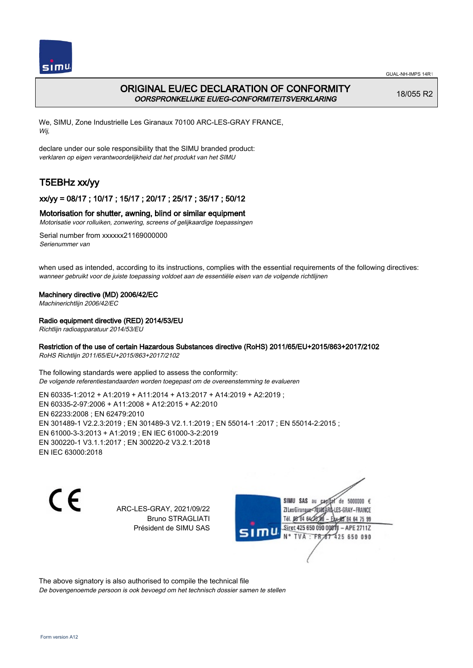

# ORIGINAL EU/EC DECLARATION OF CONFORMITY OORSPRONKELIJKE EU/EG-CONFORMITEITSVERKLARING

18/055 R2

We, SIMU, Zone Industrielle Les Giranaux 70100 ARC-LES-GRAY FRANCE, Wij,

declare under our sole responsibility that the SIMU branded product: verklaren op eigen verantwoordelijkheid dat het produkt van het SIMU

# T5EBHz xx/yy

## xx/yy = 08/17 ; 10/17 ; 15/17 ; 20/17 ; 25/17 ; 35/17 ; 50/12

### Motorisation for shutter, awning, blind or similar equipment

Motorisatie voor rolluiken, zonwering, screens of gelijkaardige toepassingen

Serial number from xxxxxx21169000000 Serienummer van

when used as intended, according to its instructions, complies with the essential requirements of the following directives: wanneer gebruikt voor de juiste toepassing voldoet aan de essentiële eisen van de volgende richtlijnen

### Machinery directive (MD) 2006/42/EC

Machinerichtlijn 2006/42/EC

### Radio equipment directive (RED) 2014/53/EU

Richtlijn radioapparatuur 2014/53/EU

### Restriction of the use of certain Hazardous Substances directive (RoHS) 2011/65/EU+2015/863+2017/2102

RoHS Richtlijn 2011/65/EU+2015/863+2017/2102

The following standards were applied to assess the conformity: De volgende referentiestandaarden worden toegepast om de overeenstemming te evalueren

EN 60335‑1:2012 + A1:2019 + A11:2014 + A13:2017 + A14:2019 + A2:2019 ; EN 60335‑2‑97:2006 + A11:2008 + A12:2015 + A2:2010 EN 62233:2008 ; EN 62479:2010 EN 301489‑1 V2.2.3:2019 ; EN 301489‑3 V2.1.1:2019 ; EN 55014‑1 :2017 ; EN 55014‑2:2015 ; EN 61000‑3‑3:2013 + A1:2019 ; EN IEC 61000‑3‑2:2019 EN 300220‑1 V3.1.1:2017 ; EN 300220‑2 V3.2.1:2018 EN IEC 63000:2018

CE

ARC-LES-GRAY, 2021/09/22 Bruno STRAGLIATI Président de SIMU SAS

SIMU SAS au de 5000000 € **ZILesGiranaux** ES-GRAY-FRANCE 64 75 99 Siret 425 650 090 00811  $-$  APE 2711Z 425 650 090

The above signatory is also authorised to compile the technical file De bovengenoemde persoon is ook bevoegd om het technisch dossier samen te stellen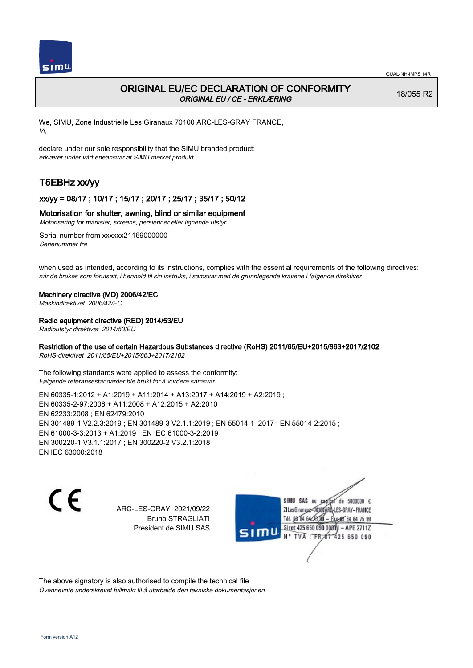

## ORIGINAL EU/EC DECLARATION OF CONFORMITY ORIGINAL EU / CE - ERKLÆRING

18/055 R2

We, SIMU, Zone Industrielle Les Giranaux 70100 ARC-LES-GRAY FRANCE, Vi,

declare under our sole responsibility that the SIMU branded product: erklærer under vårt eneansvar at SIMU merket produkt

# T5EBHz xx/yy

## xx/yy = 08/17 ; 10/17 ; 15/17 ; 20/17 ; 25/17 ; 35/17 ; 50/12

### Motorisation for shutter, awning, blind or similar equipment

Motorisering for marksier, screens, persienner eller lignende utstyr

Serial number from xxxxxx21169000000 Serienummer fra

when used as intended, according to its instructions, complies with the essential requirements of the following directives: når de brukes som forutsatt, i henhold til sin instruks, i samsvar med de grunnlegende kravene i følgende direktiver

### Machinery directive (MD) 2006/42/EC

Maskindirektivet 2006/42/EC

### Radio equipment directive (RED) 2014/53/EU

Radioutstyr direktivet 2014/53/EU

### Restriction of the use of certain Hazardous Substances directive (RoHS) 2011/65/EU+2015/863+2017/2102

RoHS-direktivet 2011/65/EU+2015/863+2017/2102

The following standards were applied to assess the conformity: Følgende referansestandarder ble brukt for å vurdere samsvar

EN 60335‑1:2012 + A1:2019 + A11:2014 + A13:2017 + A14:2019 + A2:2019 ; EN 60335‑2‑97:2006 + A11:2008 + A12:2015 + A2:2010 EN 62233:2008 ; EN 62479:2010 EN 301489‑1 V2.2.3:2019 ; EN 301489‑3 V2.1.1:2019 ; EN 55014‑1 :2017 ; EN 55014‑2:2015 ; EN 61000‑3‑3:2013 + A1:2019 ; EN IEC 61000‑3‑2:2019 EN 300220‑1 V3.1.1:2017 ; EN 300220‑2 V3.2.1:2018 EN IEC 63000:2018

C E

ARC-LES-GRAY, 2021/09/22 Bruno STRAGLIATI Président de SIMU SAS

SIMU SAS au de 5000000 € **ZILesGiranaux** ES-GRAY-FRANCE 64 75 99 Siret 425 650 090 00811  $-$  APE 2711Z TVA 425 650 090

The above signatory is also authorised to compile the technical file Ovennevnte underskrevet fullmakt til å utarbeide den tekniske dokumentasjonen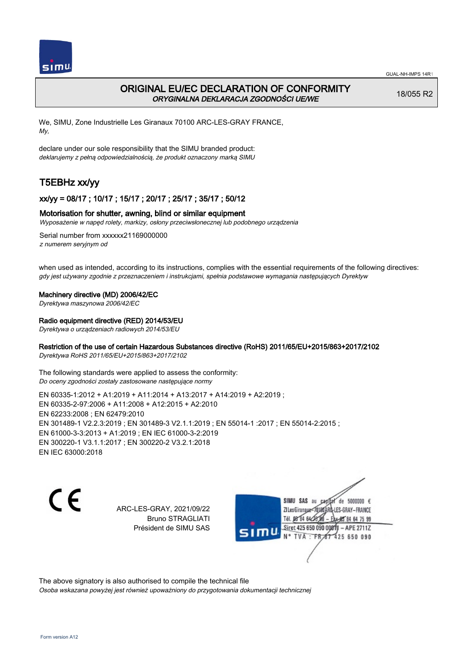

# ORIGINAL EU/EC DECLARATION OF CONFORMITY ORYGINALNA DEKLARACJA ZGODNOŚCI UE/WE

18/055 R2

We, SIMU, Zone Industrielle Les Giranaux 70100 ARC-LES-GRAY FRANCE, My,

declare under our sole responsibility that the SIMU branded product: deklarujemy z pełną odpowiedzialnością, że produkt oznaczony marką SIMU

# T5EBHz xx/yy

## xx/yy = 08/17 ; 10/17 ; 15/17 ; 20/17 ; 25/17 ; 35/17 ; 50/12

### Motorisation for shutter, awning, blind or similar equipment

Wyposażenie w napęd rolety, markizy, osłony przeciwsłonecznej lub podobnego urządzenia

Serial number from xxxxxx21169000000 z numerem seryjnym od

when used as intended, according to its instructions, complies with the essential requirements of the following directives: gdy jest używany zgodnie z przeznaczeniem i instrukcjami, spełnia podstawowe wymagania następujących Dyrektyw

### Machinery directive (MD) 2006/42/EC

Dyrektywa maszynowa 2006/42/EC

### Radio equipment directive (RED) 2014/53/EU

Dyrektywa o urządzeniach radiowych 2014/53/EU

### Restriction of the use of certain Hazardous Substances directive (RoHS) 2011/65/EU+2015/863+2017/2102

Dyrektywa RoHS 2011/65/EU+2015/863+2017/2102

The following standards were applied to assess the conformity: Do oceny zgodności zostały zastosowane następujące normy

EN 60335‑1:2012 + A1:2019 + A11:2014 + A13:2017 + A14:2019 + A2:2019 ; EN 60335‑2‑97:2006 + A11:2008 + A12:2015 + A2:2010 EN 62233:2008 ; EN 62479:2010 EN 301489‑1 V2.2.3:2019 ; EN 301489‑3 V2.1.1:2019 ; EN 55014‑1 :2017 ; EN 55014‑2:2015 ; EN 61000‑3‑3:2013 + A1:2019 ; EN IEC 61000‑3‑2:2019 EN 300220‑1 V3.1.1:2017 ; EN 300220‑2 V3.2.1:2018 EN IEC 63000:2018

C E

ARC-LES-GRAY, 2021/09/22 Bruno STRAGLIATI Président de SIMU SAS

SIMU SAS au de 5000000 € **ZILesGirangua** ES-GRAY-FRANCE 64 75 99 Siret 425 650 090 00811  $-$  APE 2711Z **TVA** 425 650 090

The above signatory is also authorised to compile the technical file Osoba wskazana powyżej jest również upoważniony do przygotowania dokumentacji technicznej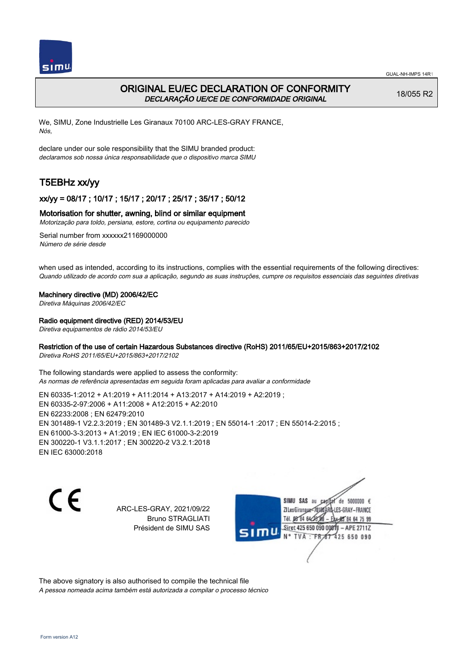

# ORIGINAL EU/EC DECLARATION OF CONFORMITY DECLARAÇÃO UE/CE DE CONFORMIDADE ORIGINAL

18/055 R2

We, SIMU, Zone Industrielle Les Giranaux 70100 ARC-LES-GRAY FRANCE, Nós,

declare under our sole responsibility that the SIMU branded product: declaramos sob nossa única responsabilidade que o dispositivo marca SIMU

# T5EBHz xx/yy

## xx/yy = 08/17 ; 10/17 ; 15/17 ; 20/17 ; 25/17 ; 35/17 ; 50/12

### Motorisation for shutter, awning, blind or similar equipment

Motorização para toldo, persiana, estore, cortina ou equipamento parecido

Serial number from xxxxxx21169000000 Número de série desde

when used as intended, according to its instructions, complies with the essential requirements of the following directives: Quando utilizado de acordo com sua a aplicação, segundo as suas instruções, cumpre os requisitos essenciais das seguintes diretivas

### Machinery directive (MD) 2006/42/EC

Diretiva Máquinas 2006/42/EC

### Radio equipment directive (RED) 2014/53/EU

Diretiva equipamentos de rádio 2014/53/EU

### Restriction of the use of certain Hazardous Substances directive (RoHS) 2011/65/EU+2015/863+2017/2102

Diretiva RoHS 2011/65/EU+2015/863+2017/2102

The following standards were applied to assess the conformity: As normas de referência apresentadas em seguida foram aplicadas para avaliar a conformidade

EN 60335‑1:2012 + A1:2019 + A11:2014 + A13:2017 + A14:2019 + A2:2019 ; EN 60335‑2‑97:2006 + A11:2008 + A12:2015 + A2:2010 EN 62233:2008 ; EN 62479:2010 EN 301489‑1 V2.2.3:2019 ; EN 301489‑3 V2.1.1:2019 ; EN 55014‑1 :2017 ; EN 55014‑2:2015 ; EN 61000‑3‑3:2013 + A1:2019 ; EN IEC 61000‑3‑2:2019 EN 300220‑1 V3.1.1:2017 ; EN 300220‑2 V3.2.1:2018 EN IEC 63000:2018

CE

ARC-LES-GRAY, 2021/09/22 Bruno STRAGLIATI Président de SIMU SAS

SIMU SAS au de 5000000 € **ZILesGiranaux** ES-GRAY-FRANCE 64 75 99 Siret 425 650 090 00811  $-$  APE 2711Z **TVA** 425 650 090

The above signatory is also authorised to compile the technical file A pessoa nomeada acima também está autorizada a compilar o processo técnico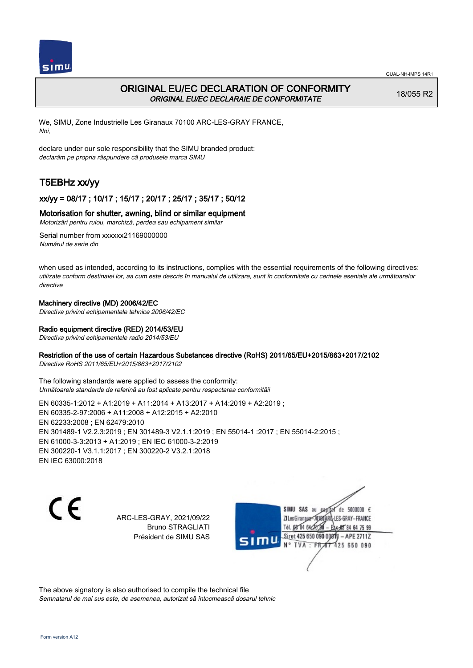

# ORIGINAL EU/EC DECLARATION OF CONFORMITY ORIGINAL EU/EC DECLARAIE DE CONFORMITATE

18/055 R2

We, SIMU, Zone Industrielle Les Giranaux 70100 ARC-LES-GRAY FRANCE, Noi,

declare under our sole responsibility that the SIMU branded product: declarăm pe propria răspundere că produsele marca SIMU

# T5EBHz xx/yy

## xx/yy = 08/17 ; 10/17 ; 15/17 ; 20/17 ; 25/17 ; 35/17 ; 50/12

### Motorisation for shutter, awning, blind or similar equipment

Motorizări pentru rulou, marchiză, perdea sau echipament similar

Serial number from xxxxxx21169000000 Numărul de serie din

when used as intended, according to its instructions, complies with the essential requirements of the following directives: utilizate conform destinaiei lor, aa cum este descris în manualul de utilizare, sunt în conformitate cu cerinele eseniale ale următoarelor directive

### Machinery directive (MD) 2006/42/EC

Directiva privind echipamentele tehnice 2006/42/EC

### Radio equipment directive (RED) 2014/53/EU

Directiva privind echipamentele radio 2014/53/EU

### Restriction of the use of certain Hazardous Substances directive (RoHS) 2011/65/EU+2015/863+2017/2102

Directiva RoHS 2011/65/EU+2015/863+2017/2102

The following standards were applied to assess the conformity: Următoarele standarde de referină au fost aplicate pentru respectarea conformităii

EN 60335‑1:2012 + A1:2019 + A11:2014 + A13:2017 + A14:2019 + A2:2019 ; EN 60335‑2‑97:2006 + A11:2008 + A12:2015 + A2:2010 EN 62233:2008 ; EN 62479:2010 EN 301489‑1 V2.2.3:2019 ; EN 301489‑3 V2.1.1:2019 ; EN 55014‑1 :2017 ; EN 55014‑2:2015 ; EN 61000‑3‑3:2013 + A1:2019 ; EN IEC 61000‑3‑2:2019 EN 300220‑1 V3.1.1:2017 ; EN 300220‑2 V3.2.1:2018 EN IEC 63000:2018

 $\epsilon$ 

ARC-LES-GRAY, 2021/09/22 Bruno STRAGLIATI Président de SIMU SAS



The above signatory is also authorised to compile the technical file Semnatarul de mai sus este, de asemenea, autorizat să întocmească dosarul tehnic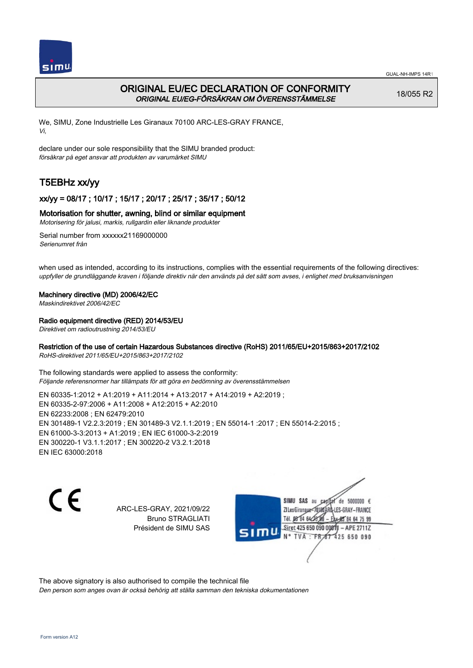

# ORIGINAL EU/EC DECLARATION OF CONFORMITY ORIGINAL EU/EG-FÖRSÄKRAN OM ÖVERENSSTÄMMELSE

18/055 R2

We, SIMU, Zone Industrielle Les Giranaux 70100 ARC-LES-GRAY FRANCE, Vi,

declare under our sole responsibility that the SIMU branded product: försäkrar på eget ansvar att produkten av varumärket SIMU

# T5EBHz xx/yy

## xx/yy = 08/17 ; 10/17 ; 15/17 ; 20/17 ; 25/17 ; 35/17 ; 50/12

### Motorisation for shutter, awning, blind or similar equipment

Motorisering för jalusi, markis, rullgardin eller liknande produkter

Serial number from xxxxxx21169000000 Serienumret från

when used as intended, according to its instructions, complies with the essential requirements of the following directives: uppfyller de grundläggande kraven i följande direktiv när den används på det sätt som avses, i enlighet med bruksanvisningen

### Machinery directive (MD) 2006/42/EC

Maskindirektivet 2006/42/EC

### Radio equipment directive (RED) 2014/53/EU

Direktivet om radioutrustning 2014/53/EU

### Restriction of the use of certain Hazardous Substances directive (RoHS) 2011/65/EU+2015/863+2017/2102

RoHS-direktivet 2011/65/EU+2015/863+2017/2102

The following standards were applied to assess the conformity: Följande referensnormer har tillämpats för att göra en bedömning av överensstämmelsen

EN 60335‑1:2012 + A1:2019 + A11:2014 + A13:2017 + A14:2019 + A2:2019 ; EN 60335‑2‑97:2006 + A11:2008 + A12:2015 + A2:2010 EN 62233:2008 ; EN 62479:2010 EN 301489‑1 V2.2.3:2019 ; EN 301489‑3 V2.1.1:2019 ; EN 55014‑1 :2017 ; EN 55014‑2:2015 ; EN 61000‑3‑3:2013 + A1:2019 ; EN IEC 61000‑3‑2:2019 EN 300220‑1 V3.1.1:2017 ; EN 300220‑2 V3.2.1:2018 EN IEC 63000:2018

C E

ARC-LES-GRAY, 2021/09/22 Bruno STRAGLIATI Président de SIMU SAS

SIMU SAS au de 5000000 € **ZILesGirangux** ES-GRAY-FRANCE 64 75 99 Siret 425 650 090 00811  $-$  APE 2711Z 425 650 090

The above signatory is also authorised to compile the technical file

Den person som anges ovan är också behörig att ställa samman den tekniska dokumentationen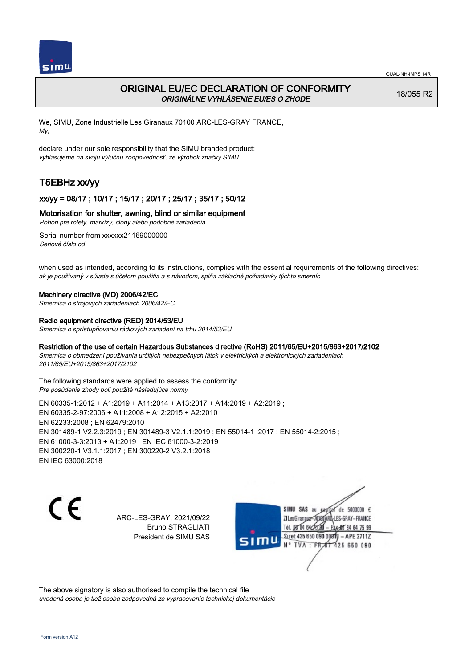

# ORIGINAL EU/EC DECLARATION OF CONFORMITY ORIGINÁLNE VYHLÁSENIE EU/ES O ZHODE

18/055 R2

We, SIMU, Zone Industrielle Les Giranaux 70100 ARC-LES-GRAY FRANCE, My,

declare under our sole responsibility that the SIMU branded product: vyhlasujeme na svoju výlučnú zodpovednosť, že výrobok značky SIMU

# T5EBHz xx/yy

## xx/yy = 08/17 ; 10/17 ; 15/17 ; 20/17 ; 25/17 ; 35/17 ; 50/12

### Motorisation for shutter, awning, blind or similar equipment

Pohon pre rolety, markízy, clony alebo podobné zariadenia

Serial number from xxxxxx21169000000 Seriové číslo od

when used as intended, according to its instructions, complies with the essential requirements of the following directives: ak je používaný v súlade s účelom použitia a s návodom, spĺňa základné požiadavky týchto smerníc

### Machinery directive (MD) 2006/42/EC

Smernica o strojových zariadeniach 2006/42/EC

### Radio equipment directive (RED) 2014/53/EU

Smernica o sprístupňovaniu rádiových zariadení na trhu 2014/53/EU

### Restriction of the use of certain Hazardous Substances directive (RoHS) 2011/65/EU+2015/863+2017/2102

Smernica o obmedzení používania určitých nebezpečných látok v elektrických a elektronických zariadeniach 2011/65/EU+2015/863+2017/2102

The following standards were applied to assess the conformity: Pre posúdenie zhody boli použité následujúce normy

EN 60335‑1:2012 + A1:2019 + A11:2014 + A13:2017 + A14:2019 + A2:2019 ; EN 60335‑2‑97:2006 + A11:2008 + A12:2015 + A2:2010 EN 62233:2008 ; EN 62479:2010 EN 301489‑1 V2.2.3:2019 ; EN 301489‑3 V2.1.1:2019 ; EN 55014‑1 :2017 ; EN 55014‑2:2015 ; EN 61000‑3‑3:2013 + A1:2019 ; EN IEC 61000‑3‑2:2019 EN 300220‑1 V3.1.1:2017 ; EN 300220‑2 V3.2.1:2018 EN IEC 63000:2018

C E

ARC-LES-GRAY, 2021/09/22 Bruno STRAGLIATI Président de SIMU SAS



The above signatory is also authorised to compile the technical file uvedená osoba je tiež osoba zodpovedná za vypracovanie technickej dokumentácie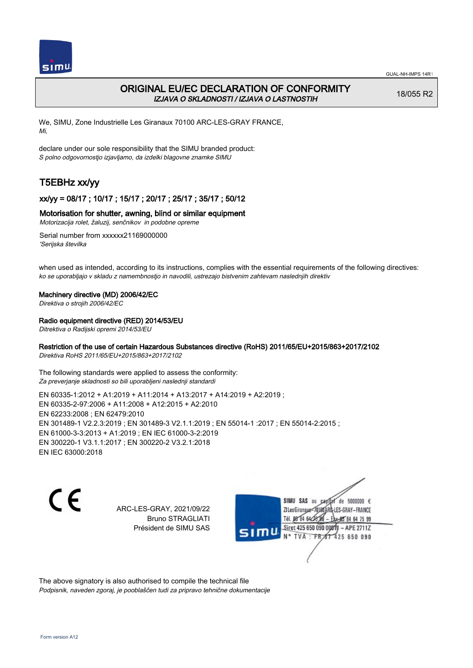

## ORIGINAL EU/EC DECLARATION OF CONFORMITY IZJAVA O SKLADNOSTI / IZJAVA O LASTNOSTIH

18/055 R2

We, SIMU, Zone Industrielle Les Giranaux 70100 ARC-LES-GRAY FRANCE, Mi,

declare under our sole responsibility that the SIMU branded product: S polno odgovornostjo izjavljamo, da izdelki blagovne znamke SIMU

# T5EBHz xx/yy

## xx/yy = 08/17 ; 10/17 ; 15/17 ; 20/17 ; 25/17 ; 35/17 ; 50/12

### Motorisation for shutter, awning, blind or similar equipment

Motorizacija rolet, žaluzij, senčnikov in podobne opreme

Serial number from xxxxxx21169000000 'Serijska številka

when used as intended, according to its instructions, complies with the essential requirements of the following directives: ko se uporabljajo v skladu z namembnostjo in navodili, ustrezajo bistvenim zahtevam naslednjih direktiv

#### Machinery directive (MD) 2006/42/EC

Direktiva o strojih 2006/42/EC

### Radio equipment directive (RED) 2014/53/EU

Ditrektiva o Radijski opremi 2014/53/EU

### Restriction of the use of certain Hazardous Substances directive (RoHS) 2011/65/EU+2015/863+2017/2102

Direktiva RoHS 2011/65/EU+2015/863+2017/2102

The following standards were applied to assess the conformity: Za preverjanje skladnosti so bili uporabljeni naslednji standardi

EN 60335‑1:2012 + A1:2019 + A11:2014 + A13:2017 + A14:2019 + A2:2019 ; EN 60335‑2‑97:2006 + A11:2008 + A12:2015 + A2:2010 EN 62233:2008 ; EN 62479:2010 EN 301489‑1 V2.2.3:2019 ; EN 301489‑3 V2.1.1:2019 ; EN 55014‑1 :2017 ; EN 55014‑2:2015 ; EN 61000‑3‑3:2013 + A1:2019 ; EN IEC 61000‑3‑2:2019 EN 300220‑1 V3.1.1:2017 ; EN 300220‑2 V3.2.1:2018 EN IEC 63000:2018

CE

ARC-LES-GRAY, 2021/09/22 Bruno STRAGLIATI Président de SIMU SAS

SIMU SAS au de 5000000 € **ZILesGirangua** ES-GRAY-FRANCE 64 75 99 Siret 425 650 090 00811  $-$  APE 2711Z TVA 425 650 090

The above signatory is also authorised to compile the technical file Podpisnik, naveden zgoraj, je pooblaščen tudi za pripravo tehnične dokumentacije